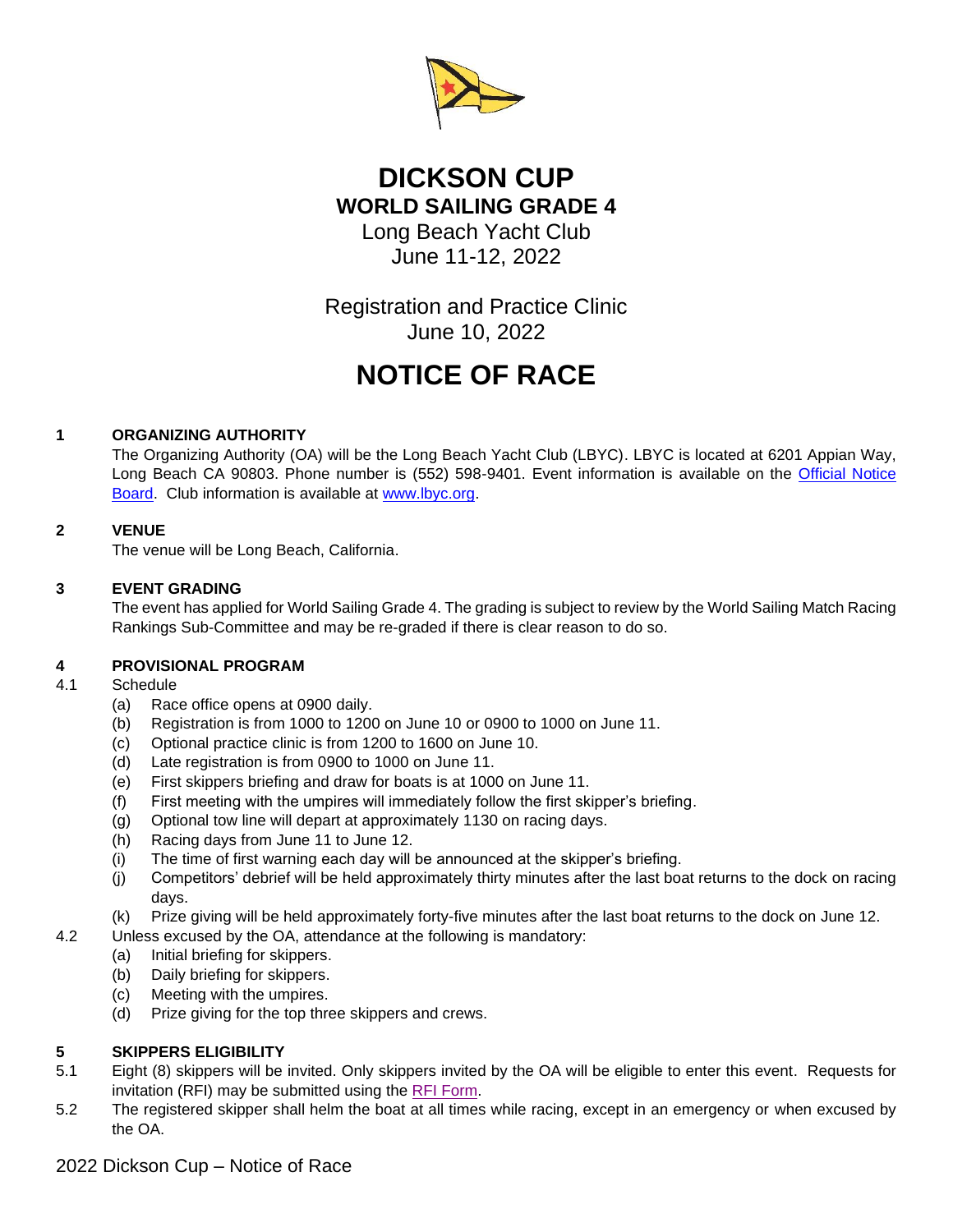

# **DICKSON CUP WORLD SAILING GRADE 4** Long Beach Yacht Club

June 11-12, 2022

Registration and Practice Clinic June 10, 2022

# **NOTICE OF RACE**

# **1 ORGANIZING AUTHORITY**

The Organizing Authority (OA) will be the Long Beach Yacht Club (LBYC). LBYC is located at 6201 Appian Way, Long Beach CA 90803. Phone number is (552) 598-9401. Event information is available on the Official Notice [Board.](https://www.lbyc.org/default.aspx?p=v35EvtView&type=0&ID=205359&noreset=yes) Club information is available at [www.lbyc.org.](http://www.lbyc.org/)

# **2 VENUE**

The venue will be Long Beach, California.

# **3 EVENT GRADING**

The event has applied for World Sailing Grade 4. The grading is subject to review by the World Sailing Match Racing Rankings Sub-Committee and may be re-graded if there is clear reason to do so.

# **4 PROVISIONAL PROGRAM**

#### 4.1 Schedule

- (a) Race office opens at 0900 daily.
- (b) Registration is from 1000 to 1200 on June 10 or 0900 to 1000 on June 11.
- (c) Optional practice clinic is from 1200 to 1600 on June 10.
- (d) Late registration is from 0900 to 1000 on June 11.
- (e) First skippers briefing and draw for boats is at 1000 on June 11.
- (f) First meeting with the umpires will immediately follow the first skipper's briefing.
- (g) Optional tow line will depart at approximately 1130 on racing days.
- (h) Racing days from June 11 to June 12.
- (i) The time of first warning each day will be announced at the skipper's briefing.
- (j) Competitors' debrief will be held approximately thirty minutes after the last boat returns to the dock on racing days.
- (k) Prize giving will be held approximately forty-five minutes after the last boat returns to the dock on June 12.
- 4.2 Unless excused by the OA, attendance at the following is mandatory:
	- (a) Initial briefing for skippers.
	- (b) Daily briefing for skippers.
	- (c) Meeting with the umpires.
	- (d) Prize giving for the top three skippers and crews.

# **5 SKIPPERS ELIGIBILITY**

- 5.1 Eight (8) skippers will be invited. Only skippers invited by the OA will be eligible to enter this event. Requests for invitation (RFI) may be submitted using the [RFI Form.](https://docs.google.com/forms/d/e/1FAIpQLSeciDCP2vKlZb_UVJ0TUTqhBpKongflql52yhOqt2jsApcuzA/viewform)
- 5.2 The registered skipper shall helm the boat at all times while racing, except in an emergency or when excused by the OA.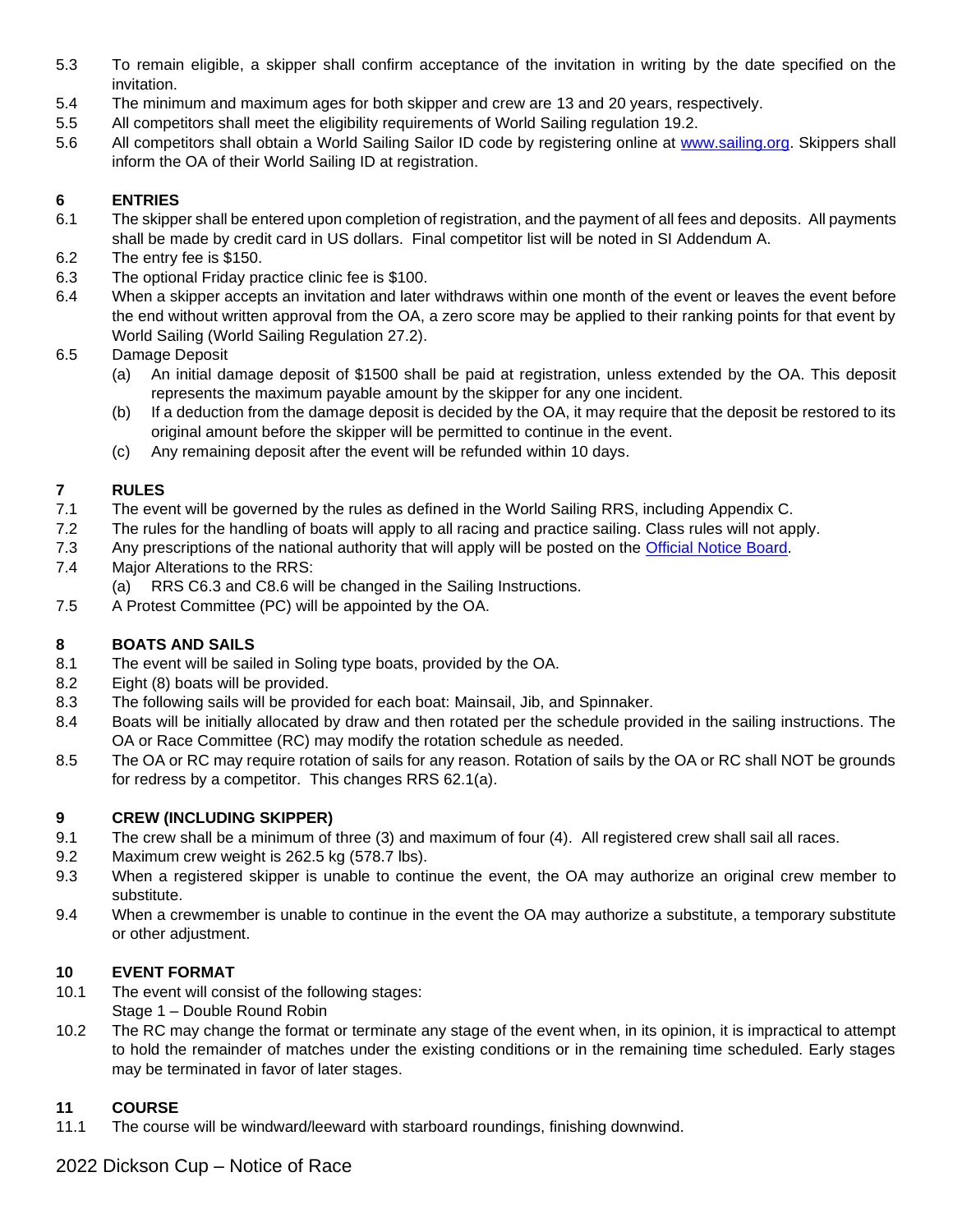- 5.3 To remain eligible, a skipper shall confirm acceptance of the invitation in writing by the date specified on the invitation.
- 5.4 The minimum and maximum ages for both skipper and crew are 13 and 20 years, respectively.
- 5.5 All competitors shall meet the eligibility requirements of World Sailing regulation 19.2.
- 5.6 All competitors shall obtain a World Sailing Sailor ID code by registering online at [www.sailing.org.](http://www.sailing.org/isafsailor) Skippers shall inform the OA of their World Sailing ID at registration.

# **6 ENTRIES**

- 6.1 The skipper shall be entered upon completion of registration, and the payment of all fees and deposits. All payments shall be made by credit card in US dollars. Final competitor list will be noted in SI Addendum A.
- 6.2 The entry fee is \$150.
- 6.3 The optional Friday practice clinic fee is \$100.
- 6.4 When a skipper accepts an invitation and later withdraws within one month of the event or leaves the event before the end without written approval from the OA, a zero score may be applied to their ranking points for that event by World Sailing (World Sailing Regulation 27.2).
- 6.5 Damage Deposit
	- (a) An initial damage deposit of \$1500 shall be paid at registration, unless extended by the OA. This deposit represents the maximum payable amount by the skipper for any one incident.
	- (b) If a deduction from the damage deposit is decided by the OA, it may require that the deposit be restored to its original amount before the skipper will be permitted to continue in the event.
	- (c) Any remaining deposit after the event will be refunded within 10 days.

### **7 RULES**

- 7.1 The event will be governed by the rules as defined in the World Sailing RRS, including Appendix C.
- 7.2 The rules for the handling of boats will apply to all racing and practice sailing. Class rules will not apply.
- 7.3 Any prescriptions of the national authority that will apply will be posted on the [Official Notice Board.](https://www.lbyc.org/default.aspx?p=v35EvtView&type=0&ID=205359&noreset=yes)
- 7.4 Major Alterations to the RRS:
- (a) RRS C6.3 and C8.6 will be changed in the Sailing Instructions.
- 7.5 A Protest Committee (PC) will be appointed by the OA.

# **8 BOATS AND SAILS**

- 8.1 The event will be sailed in Soling type boats, provided by the OA.
- 8.2 Eight (8) boats will be provided.
- 8.3 The following sails will be provided for each boat: Mainsail, Jib, and Spinnaker.
- 8.4 Boats will be initially allocated by draw and then rotated per the schedule provided in the sailing instructions. The OA or Race Committee (RC) may modify the rotation schedule as needed.
- 8.5 The OA or RC may require rotation of sails for any reason. Rotation of sails by the OA or RC shall NOT be grounds for redress by a competitor. This changes RRS 62.1(a).

#### **9 CREW (INCLUDING SKIPPER)**

- 9.1 The crew shall be a minimum of three (3) and maximum of four (4). All registered crew shall sail all races.
- 9.2 Maximum crew weight is 262.5 kg (578.7 lbs).
- 9.3 When a registered skipper is unable to continue the event, the OA may authorize an original crew member to substitute.
- 9.4 When a crewmember is unable to continue in the event the OA may authorize a substitute, a temporary substitute or other adjustment.

#### **10 EVENT FORMAT**

- 10.1 The event will consist of the following stages: Stage 1 – Double Round Robin
- 10.2 The RC may change the format or terminate any stage of the event when, in its opinion, it is impractical to attempt to hold the remainder of matches under the existing conditions or in the remaining time scheduled. Early stages may be terminated in favor of later stages.

# **11 COURSE**

11.1 The course will be windward/leeward with starboard roundings, finishing downwind.

2022 Dickson Cup – Notice of Race